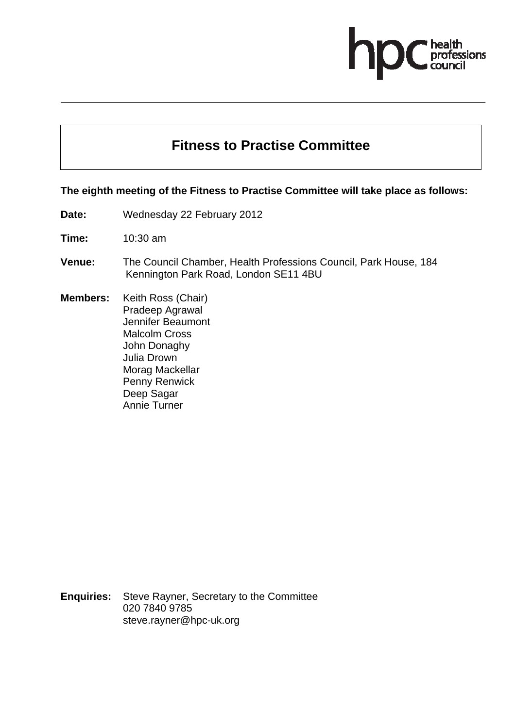## ofessions

## **Fitness to Practise Committee**

## **The eighth meeting of the Fitness to Practise Committee will take place as follows:**

**Date:** Wednesday 22 February 2012

**Time:** 10:30 am

**Venue:** The Council Chamber, Health Professions Council, Park House, 184 Kennington Park Road, London SE11 4BU

**Members:** Keith Ross (Chair) Pradeep Agrawal Jennifer Beaumont Malcolm Cross John Donaghy Julia Drown Morag Mackellar Penny Renwick Deep Sagar Annie Turner

**Enquiries:** Steve Rayner, Secretary to the Committee 020 7840 9785 steve.rayner@hpc-uk.org